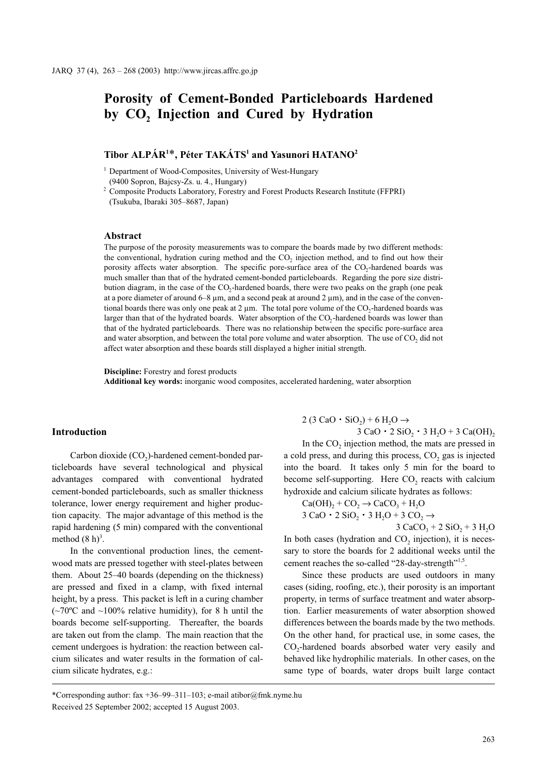# Porosity of Cement-Bonded Particleboards Hardened by CO<sub>2</sub> Injection and Cured by Hydration

# Tibor ALPÁR<sup>1\*</sup>, Péter TAKÁTS<sup>1</sup> and Yasunori HATANO<sup>2</sup>

<sup>1</sup> Department of Wood-Composites, University of West-Hungary (9400 Sopron, Bajcsy-Zs. u. 4., Hungary)

<sup>2</sup> Composite Products Laboratory, Forestry and Forest Products Research Institute (FFPRI) (Tsukuba, Ibaraki 305–8687, Japan)

# Abstract

The purpose of the porosity measurements was to compare the boards made by two different methods: the conventional, hydration curing method and the  $CO<sub>2</sub>$  injection method, and to find out how their porosity affects water absorption. The specific pore-surface area of the CO<sub>2</sub>-hardened boards was much smaller than that of the hydrated cement-bonded particleboards. Regarding the pore size distribution diagram, in the case of the  $CO_2$ -hardened boards, there were two peaks on the graph (one peak at a pore diameter of around 6–8  $\mu$ m, and a second peak at around 2  $\mu$ m), and in the case of the conventional boards there was only one peak at 2  $\mu$ m. The total pore volume of the CO<sub>2</sub>-hardened boards was larger than that of the hydrated boards. Water absorption of the  $CO<sub>2</sub>$ -hardened boards was lower than -that of the hydrated particleboards. There was no relationship between the specific pore-surface area and water absorption, and between the total pore volume and water absorption. The use of  $CO<sub>2</sub>$  did not affect water absorption and these boards still displayed a higher initial strength.

Discipline: Forestry and forest products Additional key words: inorganic wood composites, accelerated hardening, water absorption

# Introduction

Carbon dioxide  $(CO<sub>2</sub>)$ -hardened cement-bonded particleboards have several technological and physical advantages compared with conventional hydrated cement-bonded particleboards, such as smaller thickness tolerance, lower energy requirement and higher production capacity. The major advantage of this method is the rapid hardening (5 min) compared with the conventional method  $(8 h)^3$ .

In the conventional production lines, the cementwood mats are pressed together with steel-plates between them. About 25–40 boards (depending on the thickness) are pressed and fixed in a clamp, with fixed internal height, by a press. This packet is left in a curing chamber  $(-70^{\circ}$ C and  $\sim$ 100% relative humidity), for 8 h until the boards become self-supporting. Thereafter, the boards are taken out from the clamp. The main reaction that the cement undergoes is hydration: the reaction between calcium silicates and water results in the formation of calcium silicate hydrates, e.g.:

 $2(3 \text{ CaO} \cdot \text{SiO}_2) + 6 \text{ H}_2\text{O} \rightarrow$  $3 \text{ CaO} \cdot 2 \text{ SiO}_2 \cdot 3 \text{ H}_2\text{O} + 3 \text{ Ca(OH)}_2$ 

In the CO<sub>2</sub> injection method, the mats are pressed in a cold press, and during this process,  $CO<sub>2</sub>$  gas is injected into the board. It takes only 5 min for the board to become self-supporting. Here CO<sub>2</sub> reacts with calcium

hydroxide and calcium silicate hydrates as follows:  
\n
$$
Ca(OH)_2 + CO_2 \rightarrow CaCO_3 + H_2O
$$
\n
$$
3 CaO \cdot 2 SiO_2 \cdot 3 H_2O + 3 CO_2 \rightarrow
$$
\n
$$
3 CaCO_3 + 2 SiO_2 + 3 H_2O
$$

In both cases (hydration and  $CO<sub>2</sub>$  injection), it is necessary to store the boards for 2 additional weeks until the cement reaches the so-called "28-day-strength"<sup>1,5</sup>.

Since these products are used outdoors in many cases (siding, roofing, etc.), their porosity is an important property, in terms of surface treatment and water absorption. Earlier measurements of water absorption showed differences between the boards made by the two methods. On the other hand, for practical use, in some cases, the CO<sub>2</sub>-hardened boards absorbed water very easily and behaved like hydrophilic materials. In other cases, on the same type of boards, water drops built large contact

<sup>\*</sup>Corresponding author: fax +36–99–311–103; e-mail atibor@fmk.nyme.hu Received 25 September 2002; accepted 15 August 2003.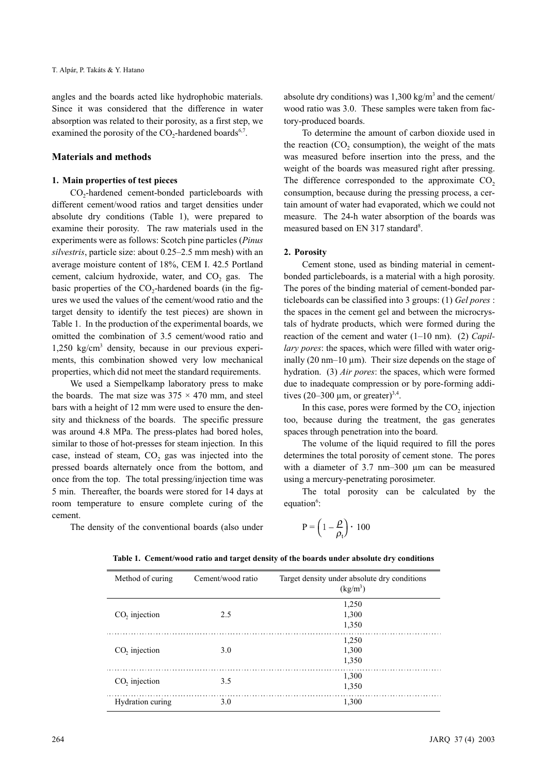angles and the boards acted like hydrophobic materials. Since it was considered that the difference in water absorption was related to their porosity, as a first step, we examined the porosity of the  $CO_2$ -hardened boards<sup>6,7</sup>.

# Materials and methods

### 1. Main properties of test pieces

CO<sub>2</sub>-hardened cement-bonded particleboards with different cement/wood ratios and target densities under absolute dry conditions (Table 1), were prepared to examine their porosity. The raw materials used in the experiments were as follows: Scotch pine particles (Pinus silvestris, particle size: about 0.25–2.5 mm mesh) with an average moisture content of 18%, CEM I. 42.5 Portland cement, calcium hydroxide, water, and CO<sub>2</sub> gas. The basic properties of the  $CO<sub>2</sub>$ -hardened boards (in the figures we used the values of the cement/wood ratio and the target density to identify the test pieces) are shown in Table 1. In the production of the experimental boards, we omitted the combination of 3.5 cement/wood ratio and 1,250 kg/cm<sup>3</sup> density, because in our previous experiments, this combination showed very low mechanical properties, which did not meet the standard requirements.

We used a Siempelkamp laboratory press to make the boards. The mat size was  $375 \times 470$  mm, and steel bars with a height of 12 mm were used to ensure the density and thickness of the boards. The specific pressure was around 4.8 MPa. The press-plates had bored holes, similar to those of hot-presses for steam injection. In this case, instead of steam,  $CO<sub>2</sub>$  gas was injected into the pressed boards alternately once from the bottom, and once from the top. The total pressing/injection time was 5 min. Thereafter, the boards were stored for 14 days at room temperature to ensure complete curing of the cement.

absolute dry conditions) was  $1,300 \text{ kg/m}^3$  and the cement/ wood ratio was 3.0. These samples were taken from factory-produced boards.

To determine the amount of carbon dioxide used in the reaction  $(CO<sub>2</sub>$  consumption), the weight of the mats was measured before insertion into the press, and the weight of the boards was measured right after pressing. The difference corresponded to the approximate  $CO<sub>2</sub>$ consumption, because during the pressing process, a certain amount of water had evaporated, which we could not measure. The 24-h water absorption of the boards was measured based on EN 317 standard<sup>8</sup>.

### 2. Porosity

Cement stone, used as binding material in cementbonded particleboards, is a material with a high porosity. The pores of the binding material of cement-bonded particleboards can be classified into 3 groups: (1) Gel pores : the spaces in the cement gel and between the microcrystals of hydrate products, which were formed during the reaction of the cement and water  $(1-10 \text{ nm})$ . (2) Capillary pores: the spaces, which were filled with water originally (20 nm–10  $\mu$ m). Their size depends on the stage of hydration. (3) Air pores: the spaces, which were formed due to inadequate compression or by pore-forming additives (20–300  $\mu$ m, or greater)<sup>3,4</sup>.

In this case, pores were formed by the  $CO<sub>2</sub>$  injection too, because during the treatment, the gas generates spaces through penetration into the board.

The volume of the liquid required to fill the pores determines the total porosity of cement stone. The pores with a diameter of 3.7 nm-300  $\mu$ m can be measured using a mercury-penetrating porosimeter.

The total porosity can be calculated by the equation<sup>6</sup>:  $P = (1 - \frac{\rho}{\rho_t}) \cdot 100$ 

The density of the conventional boards (also under

| Method of curing | Cement/wood ratio | Target density under absolute dry conditions<br>$(kg/m^3)$ |
|------------------|-------------------|------------------------------------------------------------|
| $CO$ , injection | 2.5               | 1,250<br>1,300                                             |
|                  |                   | 1,350                                                      |
| $CO$ , injection | 3.0               | 1,250<br>1,300<br>1,350                                    |
| $CO$ , injection | 3.5               | 1,300<br>1,350                                             |
| Hydration curing | 3.0               | 1,300                                                      |

#### Table 1. Cement/wood ratio and target density of the boards under absolute dry conditions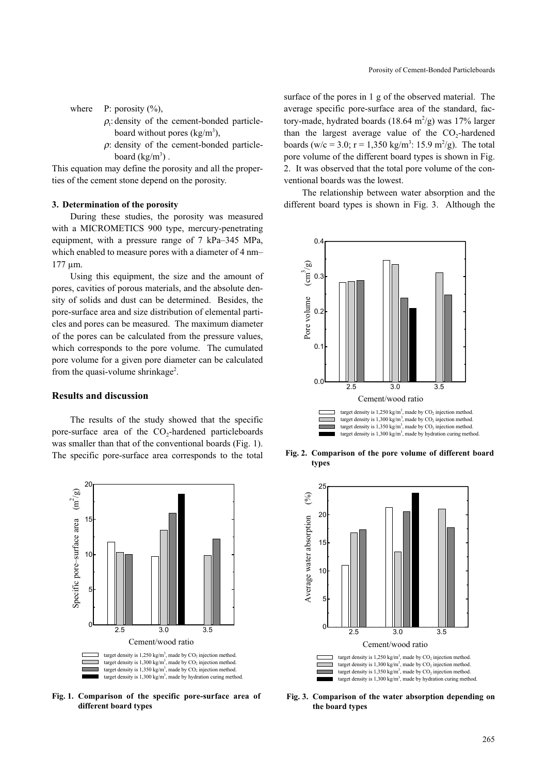where  $P: \text{porosity } (\%),$ 

- $\rho_t$ : density of the cement-bonded particleboard without pores  $(kg/m<sup>3</sup>)$ ,
- $\rho$ : density of the cement-bonded particleboard  $(kg/m^3)$ .

This equation may define the porosity and all the properties of the cement stone depend on the porosity.

# 3. Determination of the porosity

During these studies, the porosity was measured with a MICROMETICS 900 type, mercury-penetrating equipment, with a pressure range of 7 kPa–345 MPa, which enabled to measure pores with a diameter of 4 nm– 177 µm.

Using this equipment, the size and the amount of pores, cavities of porous materials, and the absolute density of solids and dust can be determined. Besides, the pore-surface area and size distribution of elemental particles and pores can be measured. The maximum diameter of the pores can be calculated from the pressure values, which corresponds to the pore volume. The cumulated pore volume for a given pore diameter can be calculated from the quasi-volume shrinkage<sup>2</sup>.

## Results and discussion

The results of the study showed that the specific pore-surface area of the  $CO<sub>2</sub>$ -hardened particleboards was smaller than that of the conventional boards (Fig. 1). The specific pore-surface area corresponds to the total



Fig. 1. Comparison of the specific pore-surface area of different board types

surface of the pores in 1 g of the observed material. The average specific pore-surface area of the standard, factory-made, hydrated boards  $(18.64 \text{ m}^2/\text{g})$  was  $17\%$  larger than the largest average value of the  $CO<sub>2</sub>$ -hardened boards (w/c = 3.0; r = 1,350 kg/m<sup>3</sup>: 15.9 m<sup>2</sup>/g). The total pore volume of the different board types is shown in Fig. 2. It was observed that the total pore volume of the conventional boards was the lowest.

The relationship between water absorption and the different board types is shown in Fig. 3. Although the



Fig. 2. Comparison of the pore volume of different board types



Fig. 3. Comparison of the water absorption depending on the board types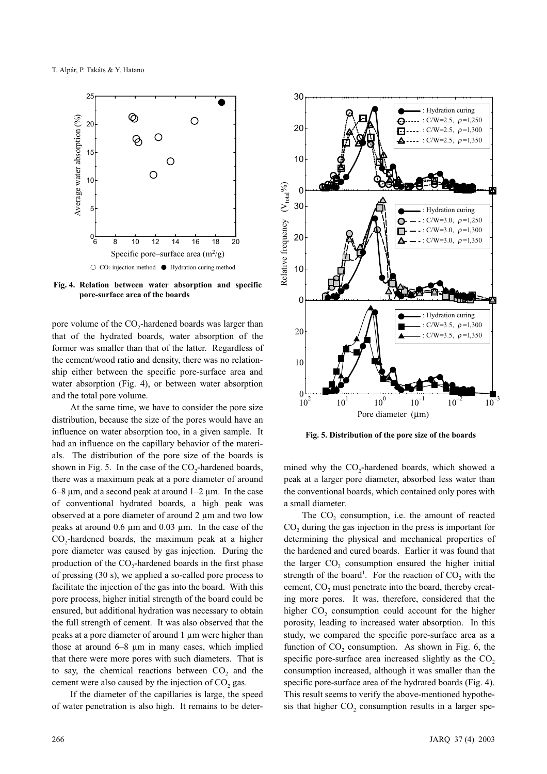

Fig. 4. Relation between water absorption and specific pore-surface area of the boards

pore volume of the CO<sub>2</sub>-hardened boards was larger than that of the hydrated boards, water absorption of the former was smaller than that of the latter. Regardless of the cement/wood ratio and density, there was no relationship either between the specific pore-surface area and water absorption (Fig. 4), or between water absorption and the total pore volume.

At the same time, we have to consider the pore size distribution, because the size of the pores would have an influence on water absorption too, in a given sample. It had an influence on the capillary behavior of the materials. The distribution of the pore size of the boards is shown in Fig. 5. In the case of the  $CO<sub>2</sub>$ -hardened boards, there was a maximum peak at a pore diameter of around  $6-8 \mu m$ , and a second peak at around  $1-2 \mu m$ . In the case of conventional hydrated boards, a high peak was observed at a pore diameter of around 2 µm and two low peaks at around 0.6 µm and 0.03 µm. In the case of the CO<sub>2</sub>-hardened boards, the maximum peak at a higher pore diameter was caused by gas injection. During the production of the CO<sub>2</sub>-hardened boards in the first phase of pressing (30 s), we applied a so-called pore process to facilitate the injection of the gas into the board. With this pore process, higher initial strength of the board could be ensured, but additional hydration was necessary to obtain the full strength of cement. It was also observed that the peaks at a pore diameter of around 1 µm were higher than those at around  $6-8$   $\mu$ m in many cases, which implied that there were more pores with such diameters. That is to say, the chemical reactions between  $CO<sub>2</sub>$  and the cement were also caused by the injection of  $CO<sub>2</sub>$  gas.

If the diameter of the capillaries is large, the speed of water penetration is also high. It remains to be deter-



Fig. 5. Distribution of the pore size of the boards

mined why the  $CO<sub>2</sub>$ -hardened boards, which showed a peak at a larger pore diameter, absorbed less water than the conventional boards, which contained only pores with a small diameter.

The  $CO<sub>2</sub>$  consumption, i.e. the amount of reacted  $CO<sub>2</sub>$  during the gas injection in the press is important for determining the physical and mechanical properties of the hardened and cured boards. Earlier it was found that the larger  $CO<sub>2</sub>$  consumption ensured the higher initial strength of the board<sup>1</sup>. For the reaction of  $CO_2$  with the cement, CO<sub>2</sub> must penetrate into the board, thereby creating more pores. It was, therefore, considered that the higher CO<sub>2</sub> consumption could account for the higher porosity, leading to increased water absorption. In this study, we compared the specific pore-surface area as a function of  $CO<sub>2</sub>$  consumption. As shown in Fig. 6, the specific pore-surface area increased slightly as the  $CO<sub>2</sub>$ consumption increased, although it was smaller than the specific pore-surface area of the hydrated boards (Fig. 4). This result seems to verify the above-mentioned hypothesis that higher  $CO<sub>2</sub>$  consumption results in a larger spe-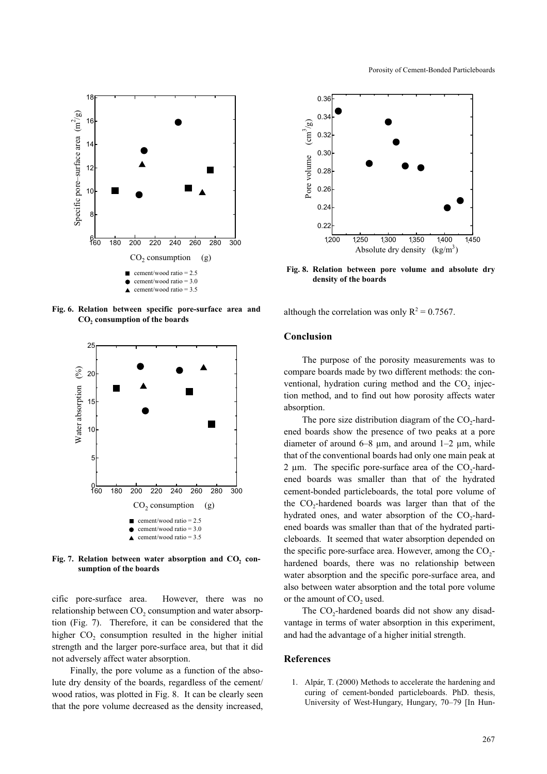

Fig. 6. Relation between specific pore-surface area and  $\mathrm{CO}_2$  consumption of the boards



Fig. 7. Relation between water absorption and  $CO<sub>2</sub>$  con-<br>cumption of the beaude sumption of the boards

cific pore-surface area. However, there was no relationship between CO<sub>2</sub> consumption and water absorption (Fig. 7). Therefore, it can be considered that the higher  $CO<sub>2</sub>$  consumption resulted in the higher initial strength and the larger pore-surface area, but that it did not adversely affect water absorption.

Finally, the pore volume as a function of the absolute dry density of the boards, regardless of the cement/ wood ratios, was plotted in Fig. 8. It can be clearly seen that the pore volume decreased as the density increased,



Fig. 8. Relation between pore volume and absolute dry density of the boards

although the correlation was only  $R^2 = 0.7567$ .

# Conclusion

The purpose of the porosity measurements was to compare boards made by two different methods: the conventional, hydration curing method and the  $CO<sub>2</sub>$  injection method, and to find out how porosity affects water absorption.

The pore size distribution diagram of the  $CO<sub>2</sub>$ -hardened boards show the presence of two peaks at a pore diameter of around  $6-8$  µm, and around  $1-2$  µm, while that of the conventional boards had only one main peak at  $2 \mu m$ . The specific pore-surface area of the CO<sub>2</sub>-hardened boards was smaller than that of the hydrated cement-bonded particleboards, the total pore volume of the CO<sub>2</sub>-hardened boards was larger than that of the hydrated ones, and water absorption of the  $CO<sub>2</sub>$ -hardened boards was smaller than that of the hydrated particleboards. It seemed that water absorption depended on the specific pore-surface area. However, among the  $CO<sub>2</sub>$ hardened boards, there was no relationship between water absorption and the specific pore-surface area, and also between water absorption and the total pore volume or the amount of  $CO<sub>2</sub>$  used.

The CO<sub>2</sub>-hardened boards did not show any disadvantage in terms of water absorption in this experiment, and had the advantage of a higher initial strength.

# References

1. Alpár, T. (2000) Methods to accelerate the hardening and curing of cement-bonded particleboards. PhD. thesis, University of West-Hungary, Hungary, 70–79 [In Hun